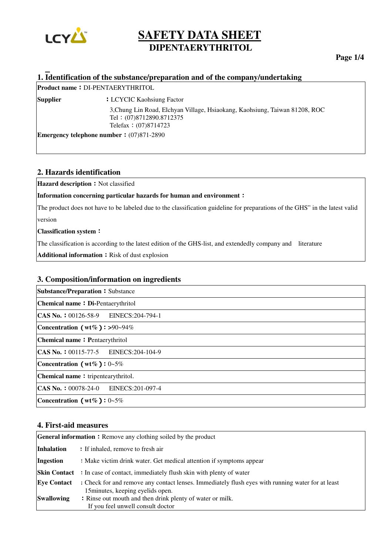

### **Page 1/4**

## **1. Identification of the substance/preparation and of the company/undertaking**

|                 | <b>Product name: DI-PENTAERYTHRITOL</b>                                                                                          |
|-----------------|----------------------------------------------------------------------------------------------------------------------------------|
| <b>Supplier</b> | <b>LCYCIC Kaohsiung Factor</b>                                                                                                   |
|                 | 3, Chung Lin Road, Elchyan Village, Hsiaokang, Kaohsiung, Taiwan 81208, ROC<br>Tel: (07)8712890.8712375<br>Telefax $(07)8714723$ |
|                 | <b>Emergency telephone number:</b> $(07)871-2890$                                                                                |

#### **2. Hazards identification**

**Hazard description**: Not classified

**Information concerning particular hazards for human and environment**:

The product does not have to be labeled due to the classification guideline for preparations of the GHS" in the latest valid version

**Classification system**:

The classification is according to the latest edition of the GHS-list, and extendedly company and literature

Additional information : Risk of dust explosion

#### **3. Composition/information on ingredients**

| <b>Substance/Preparation: Substance</b>         |  |  |
|-------------------------------------------------|--|--|
| <b>Chemical name: Di-Pentaerythritol</b>        |  |  |
| $ CAS\ N_0. : 00126-58-9$ EINECS: 204-794-1     |  |  |
| Concentration ( $wt\%$ ): >90~94%               |  |  |
| <b>Chemical name</b> Pentaerythritol            |  |  |
| $ CAS\ N_0. : 00115-77-5$ EINECS: 204-104-9     |  |  |
| Concentration ( $wt\%$ ): 0~5%                  |  |  |
| Chemical name tripentearythritol.               |  |  |
| CAS No.: 00078-24-0 EINECS:201-097-4            |  |  |
| Concentration ( $wt\%$ ): $0\nightharpoonup5\%$ |  |  |

### **4. First-aid measures**

| <b>General information</b> Remove any clothing soiled by the product |                                                                                                                                        |  |  |
|----------------------------------------------------------------------|----------------------------------------------------------------------------------------------------------------------------------------|--|--|
| <b>Inhalation</b>                                                    | If inhaled, remove to fresh air                                                                                                        |  |  |
| Ingestion                                                            | Make victim drink water. Get medical attention if symptoms appear                                                                      |  |  |
| <b>Skin Contact</b>                                                  | In case of contact, immediately flush skin with plenty of water                                                                        |  |  |
| <b>Eye Contact</b>                                                   | : Check for and remove any contact lenses. Immediately flush eyes with running water for at least<br>15 minutes, keeping eyelids open. |  |  |
| <b>Swallowing</b>                                                    | Rinse out mouth and then drink plenty of water or milk.<br>If you feel unwell consult doctor                                           |  |  |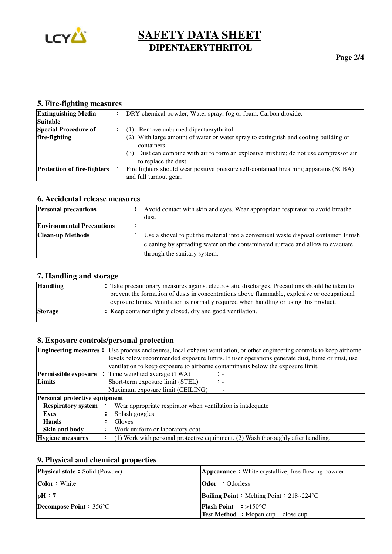

| $\ldots$                           |                                                                                                                 |
|------------------------------------|-----------------------------------------------------------------------------------------------------------------|
| <b>Extinguishing Media</b>         | DRY chemical powder, Water spray, fog or foam, Carbon dioxide.                                                  |
| <b>Suitable</b>                    |                                                                                                                 |
| <b>Special Procedure of</b>        | (1) Remove unburned dipentaerythritol.                                                                          |
| fire-fighting                      | (2) With large amount of water or water spray to extinguish and cooling building or<br>containers.              |
|                                    | (3) Dust can combine with air to form an explosive mixture; do not use compressor air<br>to replace the dust.   |
| <b>Protection of fire-fighters</b> | Fire fighters should wear positive pressure self-contained breathing apparatus (SCBA)<br>and full turnout gear. |

### **5. Fire-fighting measures**

# **6. Accidental release measures**

| <b>Personal precautions</b>      | ÷ | Avoid contact with skin and eyes. Wear appropriate respirator to avoid breathe<br>dust. |
|----------------------------------|---|-----------------------------------------------------------------------------------------|
| <b>Environmental Precautions</b> |   |                                                                                         |
| <b>Clean-up Methods</b>          |   | Use a shovel to put the material into a convenient waste disposal container. Finish     |
|                                  |   | cleaning by spreading water on the contaminated surface and allow to evacuate           |
|                                  |   | through the sanitary system.                                                            |

## **7. Handling and storage**

| <b>Handling</b> | : Take precautionary measures against electrostatic discharges. Precautions should be taken to |
|-----------------|------------------------------------------------------------------------------------------------|
|                 | prevent the formation of dusts in concentrations above flammable, explosive or occupational    |
|                 | exposure limits. Ventilation is normally required when handling or using this product.         |
| <b>Storage</b>  | : Keep container tightly closed, dry and good ventilation.                                     |
|                 |                                                                                                |

# **8. Exposure controls/personal protection**

|                                      | <b>Engineering measures</b> : Use process enclosures, local exhaust ventilation, or other engineering controls to keep airborne |  |  |
|--------------------------------------|---------------------------------------------------------------------------------------------------------------------------------|--|--|
|                                      | levels below recommended exposure limits. If user operations generate dust, fume or mist, use                                   |  |  |
|                                      | ventilation to keep exposure to airborne contaminants below the exposure limit.                                                 |  |  |
|                                      | <b>Permissible exposure</b> : Time weighted average (TWA)<br>$\mathbb{Z}$                                                       |  |  |
| Limits                               | Short-term exposure limit (STEL)<br>$\mathbb{Z}$                                                                                |  |  |
|                                      | Maximum exposure limit (CEILING)<br>$\mathcal{L}$                                                                               |  |  |
| <b>Personal protective equipment</b> |                                                                                                                                 |  |  |
| <b>Respiratory system</b>            | Wear appropriate respirator when ventilation is inadequate                                                                      |  |  |
| Eyes                                 | Splash goggles                                                                                                                  |  |  |
| <b>Hands</b>                         | Gloves                                                                                                                          |  |  |
| Skin and body                        | Work uniform or laboratory coat                                                                                                 |  |  |
| Hygiene measures                     | (1) Work with personal protective equipment. (2) Wash thoroughly after handling.                                                |  |  |

# **9. Physical and chemical properties**

| <b>Physical state</b> Solid (Powder) | <b>Appearance</b> White crystallize, free flowing powder |
|--------------------------------------|----------------------------------------------------------|
| <b>Color</b> : White.                | <b>Odor</b> : Odorless                                   |
| pH:7                                 | <b>Boiling Point :</b> Melting Point : $218-224$ °C      |
| <b>Decompose Point : 356 °C</b>      | <b>Flash Point</b> $\Rightarrow$ 150 °C                  |
|                                      |                                                          |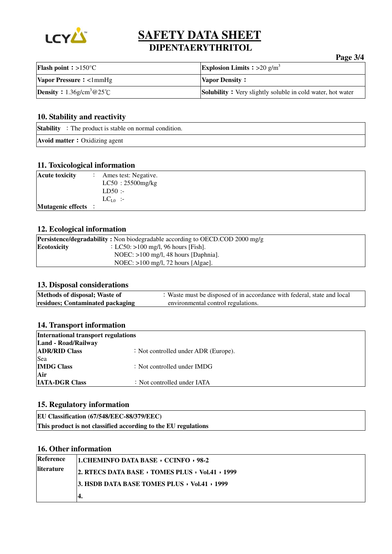

# **Page 3/4 Flash point**: >150°C **Explosion Limits** : >20 g/m<sup>3</sup> **Vapor Pressure** <1mmHg **Vapor Density Density**: 1.36g/cm<sup>3</sup>@25℃ **Solubility**: Very slightly soluble in cold water, hot water

### **10. Stability and reactivity**

| <b>Stability</b> : The product is stable on normal condition. |  |
|---------------------------------------------------------------|--|
| <b>Avoid matter</b> : Oxidizing agent                         |  |

### **11. Toxicological information**

| <b>Acute toxicity</b>    | Ames test: Negative.<br>$LC50:25500$ mg/kg |
|--------------------------|--------------------------------------------|
|                          | $LD50$ :                                   |
|                          | $LC_{I,0}$ :-                              |
| <b>Mutagenic effects</b> |                                            |

### **12. Ecological information**

|             | <b>Persistence/degradability :</b> Non biodegradable according to OECD.COD 2000 mg/g |
|-------------|--------------------------------------------------------------------------------------|
| Ecotoxicity | : LC50: $>100$ mg/l, 96 hours [Fish].                                                |
|             | NOEC: $>100$ mg/l, 48 hours [Daphnia].                                               |
|             | NOEC: $>100$ mg/l, 72 hours [Algae].                                                 |

### **13. Disposal considerations**

| Methods of disposal; Waste of    | : Waste must be disposed of in accordance with federal, state and local |
|----------------------------------|-------------------------------------------------------------------------|
| residues; Contaminated packaging | environmental control regulations.                                      |

#### **14. Transport information**

| International transport regulations |                                        |  |  |  |
|-------------------------------------|----------------------------------------|--|--|--|
| Land - Road/Railway                 |                                        |  |  |  |
| <b>ADR/RID Class</b>                | : Not controlled under ADR (Europe).   |  |  |  |
| Sea                                 |                                        |  |  |  |
| <b>IMDG Class</b>                   | $\therefore$ Not controlled under IMDG |  |  |  |
| Air                                 |                                        |  |  |  |
| <b>IATA-DGR Class</b>               | : Not controlled under IATA            |  |  |  |

### **15. Regulatory information**

**EU Classification (67/548/EEC-88/379/EEC) This product is not classified according to the EU regulations** 

### **16. Other information**

| Reference         | <b>1. CHEMINFO DATA BASE CCINFO 98-2</b>     |  |
|-------------------|----------------------------------------------|--|
| <b>literature</b> | 2. RTECS DATA BASE TOMES PLUS Vol.41 1999    |  |
|                   | 3. HSDB DATA BASE TOMES PLUS · Vol.41 · 1999 |  |
|                   | 4.                                           |  |